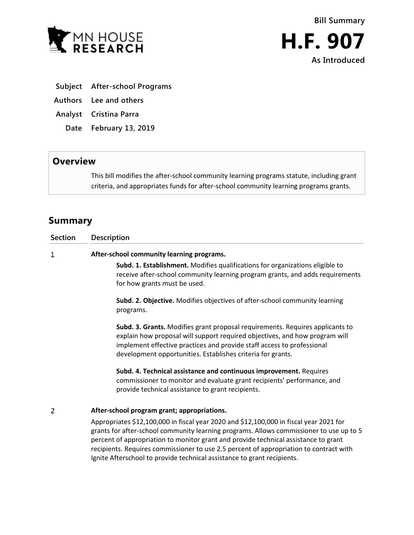



- **Subject After-school Programs**
- **Authors Lee and others**
- **Analyst Cristina Parra**
	- **Date February 13, 2019**

## **Overview**

This bill modifies the after-school community learning programs statute, including grant criteria, and appropriates funds for after-school community learning programs grants.

## **Summary**

| <b>Section</b> | <b>Description</b>                                                                                                                                                                                                                                                                                                                                                                                                                            |
|----------------|-----------------------------------------------------------------------------------------------------------------------------------------------------------------------------------------------------------------------------------------------------------------------------------------------------------------------------------------------------------------------------------------------------------------------------------------------|
| 1              | After-school community learning programs.                                                                                                                                                                                                                                                                                                                                                                                                     |
|                | Subd. 1. Establishment. Modifies qualifications for organizations eligible to<br>receive after-school community learning program grants, and adds requirements<br>for how grants must be used.                                                                                                                                                                                                                                                |
|                | Subd. 2. Objective. Modifies objectives of after-school community learning<br>programs.                                                                                                                                                                                                                                                                                                                                                       |
|                | Subd. 3. Grants. Modifies grant proposal requirements. Requires applicants to<br>explain how proposal will support required objectives, and how program will<br>implement effective practices and provide staff access to professional<br>development opportunities. Establishes criteria for grants.                                                                                                                                         |
|                | Subd. 4. Technical assistance and continuous improvement. Requires<br>commissioner to monitor and evaluate grant recipients' performance, and<br>provide technical assistance to grant recipients.                                                                                                                                                                                                                                            |
| 2              | After-school program grant; appropriations.                                                                                                                                                                                                                                                                                                                                                                                                   |
|                | Appropriates \$12,100,000 in fiscal year 2020 and \$12,100,000 in fiscal year 2021 for<br>grants for after-school community learning programs. Allows commissioner to use up to 5<br>percent of appropriation to monitor grant and provide technical assistance to grant<br>recipients. Requires commissioner to use 2.5 percent of appropriation to contract with<br>Ignite Afterschool to provide technical assistance to grant recipients. |